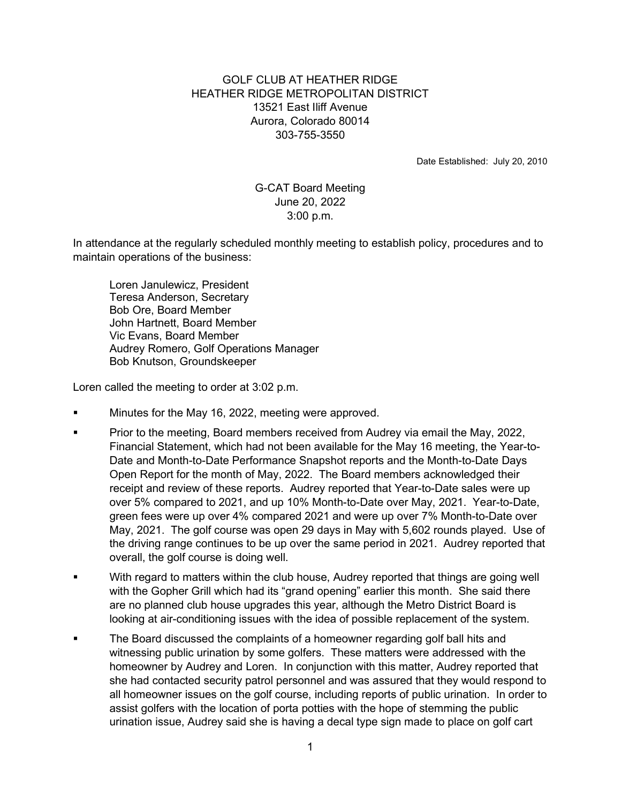## GOLF CLUB AT HEATHER RIDGE HEATHER RIDGE METROPOLITAN DISTRICT 13521 East Iliff Avenue Aurora, Colorado 80014 303-755-3550

Date Established: July 20, 2010

## G-CAT Board Meeting June 20, 2022 3:00 p.m.

In attendance at the regularly scheduled monthly meeting to establish policy, procedures and to maintain operations of the business:

 Loren Janulewicz, President Teresa Anderson, Secretary Bob Ore, Board Member John Hartnett, Board Member Vic Evans, Board Member Audrey Romero, Golf Operations Manager Bob Knutson, Groundskeeper

Loren called the meeting to order at 3:02 p.m.

- Minutes for the May 16, 2022, meeting were approved.
- Prior to the meeting, Board members received from Audrey via email the May, 2022, Financial Statement, which had not been available for the May 16 meeting, the Year-to-Date and Month-to-Date Performance Snapshot reports and the Month-to-Date Days Open Report for the month of May, 2022. The Board members acknowledged their receipt and review of these reports. Audrey reported that Year-to-Date sales were up over 5% compared to 2021, and up 10% Month-to-Date over May, 2021. Year-to-Date, green fees were up over 4% compared 2021 and were up over 7% Month-to-Date over May, 2021. The golf course was open 29 days in May with 5,602 rounds played. Use of the driving range continues to be up over the same period in 2021. Audrey reported that overall, the golf course is doing well.
- With regard to matters within the club house, Audrey reported that things are going well with the Gopher Grill which had its "grand opening" earlier this month. She said there are no planned club house upgrades this year, although the Metro District Board is looking at air-conditioning issues with the idea of possible replacement of the system.
- The Board discussed the complaints of a homeowner regarding golf ball hits and witnessing public urination by some golfers. These matters were addressed with the homeowner by Audrey and Loren. In conjunction with this matter, Audrey reported that she had contacted security patrol personnel and was assured that they would respond to all homeowner issues on the golf course, including reports of public urination. In order to assist golfers with the location of porta potties with the hope of stemming the public urination issue, Audrey said she is having a decal type sign made to place on golf cart